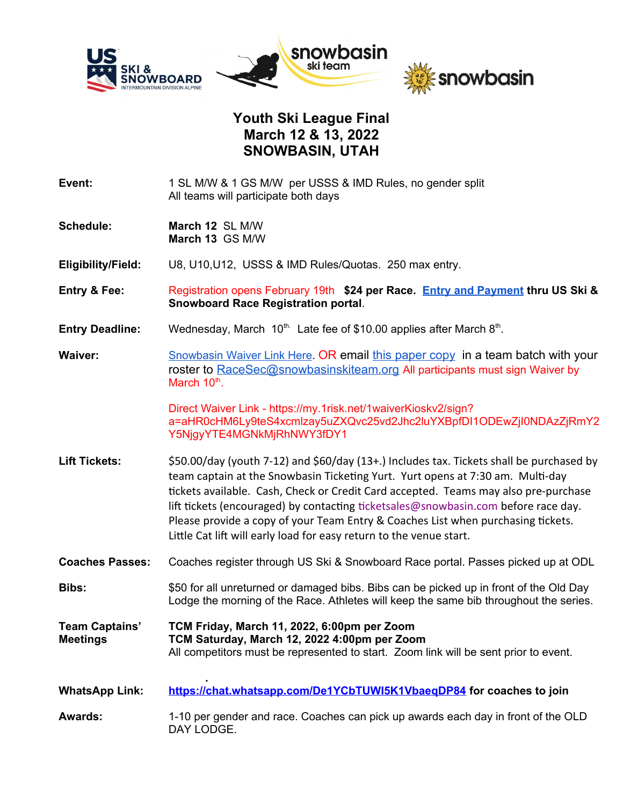

## **Youth Ski League Final March 12 & 13, 2022 SNOWBASIN, UTAH**

- **Event:** 1 SL M/W & 1 GS M/W per USSS & IMD Rules, no gender split All teams will participate both days
- **Schedule: March 12** SL M/W **March 13** GS M/W
- **Eligibility/Field:** U8, U10,U12, USSS & IMD Rules/Quotas. 250 max entry.
- **Entry & Fee:** Registration opens February 19th **\$24 per Race. [Entry and Payment](https://my.usskiandsnowboard.org/myussa) thru US Ski & Snowboard Race Registration portal**.
- Entry Deadline: Wednesday, March 10<sup>th.</sup> Late fee of \$10.00 applies after March 8<sup>th</sup>.
- **Waiver:** Showbasin Waiver Link Here. OR email [this paper copy](https://drive.google.com/file/d/1beehE7qP7S3Dl538oMDRtb1dbInUlaVF/view?usp=sharing) in a team batch with your roster to [RaceSec@snowbasinskiteam.org](mailto:RaceSec@snowbasinskiteam.org) All participants must sign Waiver by March 10<sup>th</sup>.

Direct Waiver Link - https://my.1risk.net/1waiverKioskv2/sign? a=aHR0cHM6Ly9teS4xcmlzay5uZXQvc25vd2Jhc2luYXBpfDI1ODEwZjI0NDAzZjRmY2 Y5NjgyYTE4MGNkMjRhNWY3fDY1

- Lift Tickets:  $$50.00/day$  (youth 7-12) and \$60/day (13+.) Includes tax. Tickets shall be purchased by team captain at the Snowbasin Ticketing Yurt. Yurt opens at 7:30 am. Multi-day tickets available. Cash, Check or Credit Card accepted. Teams may also pre-purchase lift tickets (encouraged) by contacting ticketsales@snowbasin.com before race day. Please provide a copy of your Team Entry & Coaches List when purchasing tickets. Little Cat lift will early load for easy return to the venue start.
- **Coaches Passes:** Coaches register through US Ski & Snowboard Race portal. Passes picked up at ODL
- **Bibs:** \$50 for all unreturned or damaged bibs. Bibs can be picked up in front of the Old Day Lodge the morning of the Race. Athletes will keep the same bib throughout the series.
- **Team Captains' TCM Friday, March 11, 2022, 6:00pm per Zoom Meetings TCM Saturday, March 12, 2022 4:00pm per Zoom** All competitors must be represented to start. Zoom link will be sent prior to event.
- **. WhatsApp Link: <https://chat.whatsapp.com/De1YCbTUWI5K1VbaeqDP84> for coaches to join**

**Awards:** 1-10 per gender and race. Coaches can pick up awards each day in front of the OLD DAY LODGE.